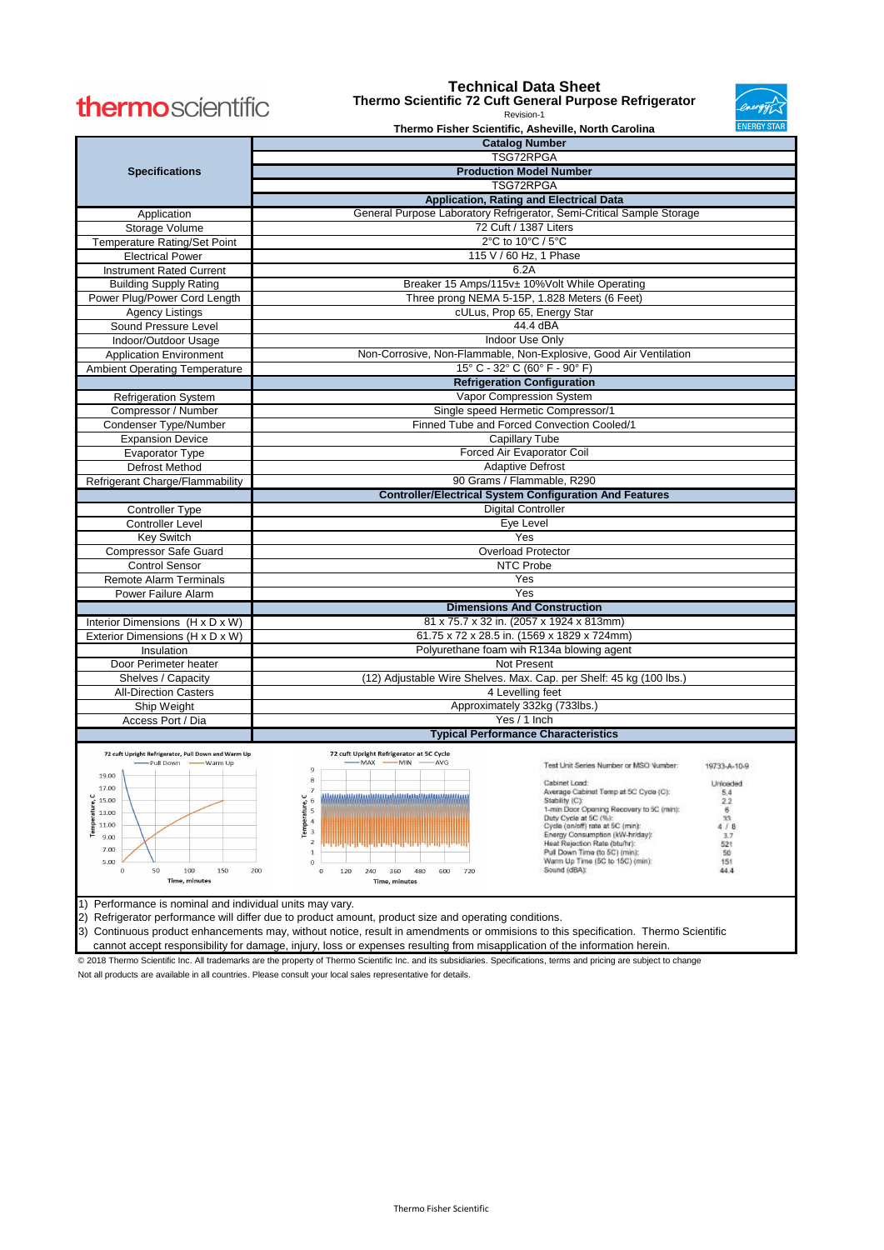Not all products are available in all countries. Please consult your local sales representative for details.

|                                                                                                                                                                       |                                                                                             | <b>Catalog Number</b>                                                       |  |  |  |  |  |  |  |
|-----------------------------------------------------------------------------------------------------------------------------------------------------------------------|---------------------------------------------------------------------------------------------|-----------------------------------------------------------------------------|--|--|--|--|--|--|--|
|                                                                                                                                                                       |                                                                                             | TSG72RPGA                                                                   |  |  |  |  |  |  |  |
| <b>Specifications</b>                                                                                                                                                 | <b>Production Model Number</b>                                                              |                                                                             |  |  |  |  |  |  |  |
|                                                                                                                                                                       | <b>TSG72RPGA</b>                                                                            |                                                                             |  |  |  |  |  |  |  |
|                                                                                                                                                                       | <b>Application, Rating and Electrical Data</b>                                              |                                                                             |  |  |  |  |  |  |  |
| Application                                                                                                                                                           | General Purpose Laboratory Refrigerator, Semi-Critical Sample Storage                       |                                                                             |  |  |  |  |  |  |  |
| Storage Volume                                                                                                                                                        | 72 Cuft / 1387 Liters                                                                       |                                                                             |  |  |  |  |  |  |  |
| Temperature Rating/Set Point                                                                                                                                          | 2°C to 10°C / 5°C                                                                           |                                                                             |  |  |  |  |  |  |  |
| <b>Electrical Power</b>                                                                                                                                               | 115 V / 60 Hz, 1 Phase                                                                      |                                                                             |  |  |  |  |  |  |  |
| <b>Instrument Rated Current</b>                                                                                                                                       | 6.2A                                                                                        |                                                                             |  |  |  |  |  |  |  |
| <b>Building Supply Rating</b>                                                                                                                                         | Breaker 15 Amps/115v± 10%Volt While Operating                                               |                                                                             |  |  |  |  |  |  |  |
| Power Plug/Power Cord Length                                                                                                                                          | Three prong NEMA 5-15P, 1.828 Meters (6 Feet)                                               |                                                                             |  |  |  |  |  |  |  |
| <b>Agency Listings</b>                                                                                                                                                | cULus, Prop 65, Energy Star                                                                 |                                                                             |  |  |  |  |  |  |  |
| Sound Pressure Level                                                                                                                                                  | 44.4 dBA                                                                                    |                                                                             |  |  |  |  |  |  |  |
| Indoor/Outdoor Usage                                                                                                                                                  | Indoor Use Only                                                                             |                                                                             |  |  |  |  |  |  |  |
| <b>Application Environment</b>                                                                                                                                        | Non-Corrosive, Non-Flammable, Non-Explosive, Good Air Ventilation                           |                                                                             |  |  |  |  |  |  |  |
| <b>Ambient Operating Temperature</b>                                                                                                                                  | 15° C - 32° C (60° F - 90° F)                                                               |                                                                             |  |  |  |  |  |  |  |
|                                                                                                                                                                       |                                                                                             | <b>Refrigeration Configuration</b>                                          |  |  |  |  |  |  |  |
| <b>Refrigeration System</b>                                                                                                                                           |                                                                                             | Vapor Compression System                                                    |  |  |  |  |  |  |  |
| Compressor / Number                                                                                                                                                   |                                                                                             | Single speed Hermetic Compressor/1                                          |  |  |  |  |  |  |  |
| Condenser Type/Number                                                                                                                                                 |                                                                                             |                                                                             |  |  |  |  |  |  |  |
| <b>Expansion Device</b>                                                                                                                                               | Finned Tube and Forced Convection Cooled/1                                                  |                                                                             |  |  |  |  |  |  |  |
| Evaporator Type                                                                                                                                                       | <b>Capillary Tube</b>                                                                       |                                                                             |  |  |  |  |  |  |  |
| Defrost Method                                                                                                                                                        | Forced Air Evaporator Coil<br><b>Adaptive Defrost</b>                                       |                                                                             |  |  |  |  |  |  |  |
|                                                                                                                                                                       |                                                                                             |                                                                             |  |  |  |  |  |  |  |
|                                                                                                                                                                       | 90 Grams / Flammable, R290<br>Refrigerant Charge/Flammability                               |                                                                             |  |  |  |  |  |  |  |
|                                                                                                                                                                       | <b>Controller/Electrical System Configuration And Features</b><br><b>Digital Controller</b> |                                                                             |  |  |  |  |  |  |  |
| <b>Controller Type</b><br><b>Controller Level</b>                                                                                                                     |                                                                                             | Eye Level                                                                   |  |  |  |  |  |  |  |
|                                                                                                                                                                       |                                                                                             |                                                                             |  |  |  |  |  |  |  |
| <b>Key Switch</b>                                                                                                                                                     | Yes                                                                                         |                                                                             |  |  |  |  |  |  |  |
| <b>Compressor Safe Guard</b>                                                                                                                                          | <b>Overload Protector</b>                                                                   |                                                                             |  |  |  |  |  |  |  |
| <b>Control Sensor</b>                                                                                                                                                 |                                                                                             | NTC Probe<br>Yes                                                            |  |  |  |  |  |  |  |
| <b>Remote Alarm Terminals</b>                                                                                                                                         |                                                                                             | Yes                                                                         |  |  |  |  |  |  |  |
| Power Failure Alarm                                                                                                                                                   |                                                                                             | <b>Dimensions And Construction</b>                                          |  |  |  |  |  |  |  |
|                                                                                                                                                                       |                                                                                             |                                                                             |  |  |  |  |  |  |  |
| Interior Dimensions (H x D x W)                                                                                                                                       | 81 x 75.7 x 32 in. (2057 x 1924 x 813mm)<br>61.75 x 72 x 28.5 in. (1569 x 1829 x 724mm)     |                                                                             |  |  |  |  |  |  |  |
| Exterior Dimensions (H x D x W)                                                                                                                                       |                                                                                             |                                                                             |  |  |  |  |  |  |  |
| Insulation                                                                                                                                                            |                                                                                             | Polyurethane foam wih R134a blowing agent<br>Not Present                    |  |  |  |  |  |  |  |
| Door Perimeter heater                                                                                                                                                 |                                                                                             | (12) Adjustable Wire Shelves. Max. Cap. per Shelf: 45 kg (100 lbs.)         |  |  |  |  |  |  |  |
| Shelves / Capacity                                                                                                                                                    |                                                                                             |                                                                             |  |  |  |  |  |  |  |
| <b>All-Direction Casters</b>                                                                                                                                          |                                                                                             | 4 Levelling feet                                                            |  |  |  |  |  |  |  |
| Ship Weight                                                                                                                                                           |                                                                                             | Approximately 332kg (733lbs.)                                               |  |  |  |  |  |  |  |
| Access Port / Dia                                                                                                                                                     |                                                                                             | Yes / 1 Inch                                                                |  |  |  |  |  |  |  |
|                                                                                                                                                                       |                                                                                             | <b>Typical Performance Characteristics</b>                                  |  |  |  |  |  |  |  |
| 72 cuft Upright Refrigerator, Pull Down and Warm Up                                                                                                                   | 72 cuft Upright Refrigerator at 5C Cycle                                                    |                                                                             |  |  |  |  |  |  |  |
| -Pull Down - Warm Up                                                                                                                                                  | -- MAX -- MIN -AVG<br>$\overline{9}$                                                        | Test Unit Series Number or MSO Vumber:<br>19733-A-10-9                      |  |  |  |  |  |  |  |
| 19.00<br>17.00                                                                                                                                                        | 8                                                                                           | Cabinet Load:<br>Unicaded                                                   |  |  |  |  |  |  |  |
| C<br>15.00                                                                                                                                                            | $\overline{7}$<br>C                                                                         | Average Cabinet Temp at 5C Cyde (C):<br>5.4<br>Stability (C):<br>2.2        |  |  |  |  |  |  |  |
| Temperature,<br>13.00                                                                                                                                                 | Temperature, C<br>$\omega$ $\Rightarrow$ $\omega$ $\Rightarrow$                             | 1-min Door Opening Recovery to 5C (min):<br>6                               |  |  |  |  |  |  |  |
| 11.00                                                                                                                                                                 |                                                                                             | Duty Cycle at 5C (%):<br>33<br>Cycle (on/off) rate at 5C (min):<br>4/8      |  |  |  |  |  |  |  |
| 9.00                                                                                                                                                                  |                                                                                             | Energy Consumption (kW-hr/day):<br>3.7                                      |  |  |  |  |  |  |  |
| 7.00                                                                                                                                                                  | $\overline{2}$<br>$\mathbf{1}$                                                              | Heat Rejection Rate (btu/hr):<br>521<br>Pull Down Time (to 5C) (min):<br>50 |  |  |  |  |  |  |  |
| 5.00                                                                                                                                                                  | $\mathbf{0}$                                                                                | Warm Up Time (5C to 15C) (min):<br>151                                      |  |  |  |  |  |  |  |
| Sound (dBA):<br>44.4<br>50<br>100<br>150<br>200<br>$\mathbf{0}$<br>120<br>240<br>360<br>480<br>600<br>720<br>$\Omega$<br><b>Time, minutes</b>                         |                                                                                             |                                                                             |  |  |  |  |  |  |  |
|                                                                                                                                                                       | <b>Time, minutes</b>                                                                        |                                                                             |  |  |  |  |  |  |  |
| Performance is nominal and individual units may vary.<br>1)                                                                                                           |                                                                                             |                                                                             |  |  |  |  |  |  |  |
| 2) Refrigerator performance will differ due to product amount, product size and operating conditions.                                                                 |                                                                                             |                                                                             |  |  |  |  |  |  |  |
| Continuous product enhancements may, without notice, result in amendments or ommisions to this specification. Thermo Scientific<br>3)                                 |                                                                                             |                                                                             |  |  |  |  |  |  |  |
| cannot accept responsibility for damage, injury, loss or expenses resulting from misapplication of the information herein.                                            |                                                                                             |                                                                             |  |  |  |  |  |  |  |
| @ 2018 Thermo Scientific Inc. All trademarks are the property of Thermo Scientific Inc. and its subsidiaries. Specifications, terms and pricing are subject to change |                                                                                             |                                                                             |  |  |  |  |  |  |  |

# thermoscientific

### **Technical Data Sheet**





#### Revision-1 **Thermo Fisher Scientific, Asheville, North Carolina**

Thermo Fisher Scientific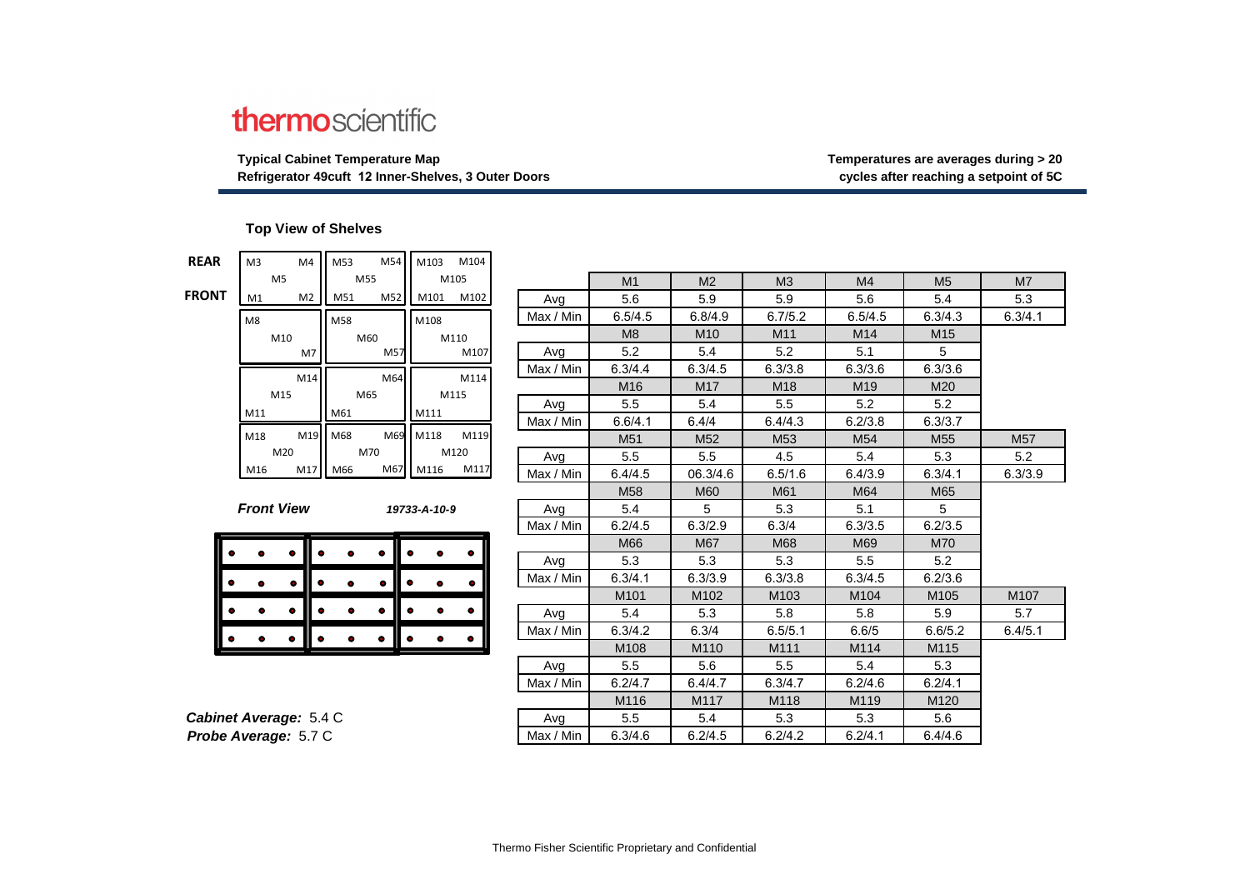# thermoscientific

**Typical Cabinet Temperature Map Temperatures are averages during > 20**

## **Refrigerator 49cuft 12 Inner-Shelves, 3 Outer Doors cycles after reaching a setpoint of 5C**

#### **Top View of Shelves**

**FRONT**

| <b>REAR</b>                       | M <sub>3</sub><br>M4 | M54<br>M53 | M103<br>M104     |           |                 |                 |                |                |                  |                |
|-----------------------------------|----------------------|------------|------------------|-----------|-----------------|-----------------|----------------|----------------|------------------|----------------|
|                                   | M <sub>5</sub>       | M55        | M105             |           | M <sub>1</sub>  | M <sub>2</sub>  | M <sub>3</sub> | M <sub>4</sub> | M <sub>5</sub>   | M <sub>7</sub> |
| <b>FRONT</b>                      | M2<br>M1             | M52<br>M51 | M102<br>M101     | Avg       | 5.6             | 5.9             | 5.9            | 5.6            | 5.4              | 5.3            |
|                                   | M8                   | M58        | M108             | Max / Min | 6.5/4.5         | 6.8/4.9         | 6.7/5.2        | 6.5/4.5        | 6.3/4.3          | 6.3/4.1        |
|                                   | M10                  | M60        | M110             |           | M8              | M <sub>10</sub> | M11            | M14            | M <sub>15</sub>  |                |
|                                   | M7                   | M57        | M107             | Avg       | 5.2             | 5.4             | 5.2            | 5.1            | 5                |                |
|                                   |                      |            |                  | Max / Min | 6.3/4.4         | 6.3/4.5         | 6.3/3.8        | 6.3/3.6        | 6.3/3.6          |                |
|                                   | M14                  | M64        | M114             |           | M16             | M <sub>17</sub> | M18            | M19            | M20              |                |
|                                   | M15                  | M65        | M115             | Avg       | 5.5             | 5.4             | 5.5            | 5.2            | 5.2              |                |
|                                   | M11                  | M61        | M111             | Max / Min | 6.6/4.1         | 6.4/4           | 6.4/4.3        | 6.2/3.8        | 6.3/3.7          |                |
|                                   | M18<br>M19           | M68        | M69 M118<br>M119 |           | M51             | M52             | M53            | M54            | M <sub>55</sub>  | M57            |
|                                   | M20                  | M70        | M120             | Avg       | 5.5             | 5.5             | 4.5            | 5.4            | 5.3              | 5.2            |
|                                   | M17<br>M16           | M66        | M117<br>M67 M116 | Max / Min | 6.4/4.5         | 06.3/4.6        | 6.5/1.6        | 6.4/3.9        | 6.3/4.1          | 6.3/3.9        |
|                                   |                      |            |                  |           | M <sub>58</sub> | M60             | M61            | M64            | M65              |                |
| <b>Front View</b><br>19733-A-10-9 |                      | Avg        | 5.4              | 5         | 5.3             | 5.1             | 5              |                |                  |                |
|                                   |                      |            | Max / Min        | 6.2/4.5   | 6.3/2.9         | 6.3/4           | 6.3/3.5        | 6.2/3.5        |                  |                |
|                                   |                      |            |                  |           | M66             | M67             | M68            | M69            | M70              |                |
|                                   |                      |            |                  | Avg       | 5.3             | 5.3             | 5.3            | 5.5            | 5.2              |                |
|                                   |                      | ٠          | ۰                | Max / Min | 6.3/4.1         | 6.3/3.9         | 6.3/3.8        | 6.3/4.5        | 6.2/3.6          |                |
|                                   |                      |            |                  |           | M101            | M102            | M103           | M104           | M105             | M107           |
|                                   |                      | ٠          |                  | Avg       | 5.4             | 5.3             | 5.8            | 5.8            | 5.9              | 5.7            |
|                                   |                      |            |                  | Max / Min | 6.3/4.2         | 6.3/4           | 6.5/5.1        | 6.6/5          | 6.6/5.2          | 6.4/5.1        |
|                                   |                      |            |                  |           | M108            | M110            | M111           | M114           | M115             |                |
|                                   |                      |            |                  | Avg       | 5.5             | 5.6             | 5.5            | 5.4            | 5.3              |                |
|                                   |                      |            |                  | Max / Min | 6.2/4.7         | 6.4/4.7         | 6.3/4.7        | 6.2/4.6        | 6.2/4.1          |                |
|                                   |                      |            |                  |           | M116            | M117            | M118           | M119           | M <sub>120</sub> |                |
| Cabinet Average: 5.4 C            |                      |            | Avg              | 5.5       | 5.4             | 5.3             | 5.3            | 5.6            |                  |                |
| Probe Average: 5.7 C              |                      |            | Max / Min        | 6.3/4.6   | 6.2/4.5         | 6.2/4.2         | 6.2/4.1        | 6.4/4.6        |                  |                |